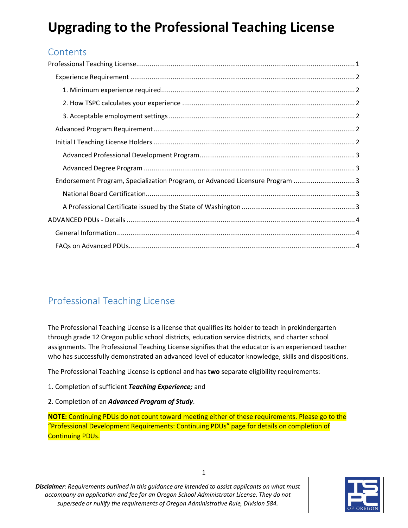# **Upgrading to the Professional Teaching License**

# **Contents**

| Endorsement Program, Specialization Program, or Advanced Licensure Program 3 |
|------------------------------------------------------------------------------|
|                                                                              |
|                                                                              |
|                                                                              |
|                                                                              |
|                                                                              |

# <span id="page-0-0"></span>Professional Teaching License

The Professional Teaching License is a license that qualifies its holder to teach in prekindergarten through grade 12 Oregon public school districts, education service districts, and charter school assignments. The Professional Teaching License signifies that the educator is an experienced teacher who has successfully demonstrated an advanced level of educator knowledge, skills and dispositions.

The Professional Teaching License is optional and has **two** separate eligibility requirements:

1. Completion of sufficient *Teaching Experience;* and

### 2. Completion of an *Advanced Program of Study*.

**NOTE:** Continuing PDUs do not count toward meeting either of these requirements. Please go to the "Professional Development Requirements: Continuing PDUs" page for details on completion of Continuing PDUs.

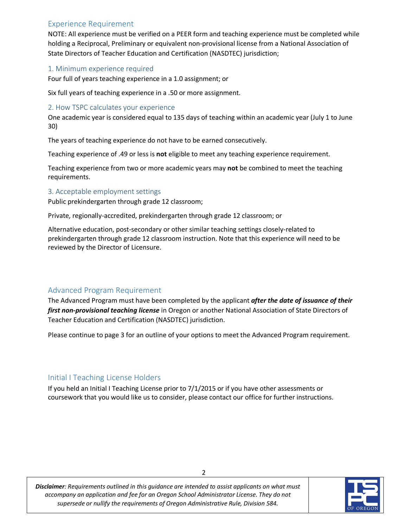## <span id="page-1-0"></span>Experience Requirement

NOTE: All experience must be verified on a PEER form and teaching experience must be completed while holding a Reciprocal, Preliminary or equivalent non-provisional license from a National Association of State Directors of Teacher Education and Certification (NASDTEC) jurisdiction;

#### <span id="page-1-1"></span>1. Minimum experience required

Four full of years teaching experience in a 1.0 assignment; or

Six full years of teaching experience in a .50 or more assignment.

#### <span id="page-1-2"></span>2. How TSPC calculates your experience

One academic year is considered equal to 135 days of teaching within an academic year (July 1 to June 30)

The years of teaching experience do not have to be earned consecutively.

Teaching experience of .49 or less is **not** eligible to meet any teaching experience requirement.

Teaching experience from two or more academic years may **not** be combined to meet the teaching requirements.

#### <span id="page-1-3"></span>3. Acceptable employment settings

Public prekindergarten through grade 12 classroom;

Private, regionally-accredited, prekindergarten through grade 12 classroom; or

Alternative education, post-secondary or other similar teaching settings closely-related to prekindergarten through grade 12 classroom instruction. Note that this experience will need to be reviewed by the Director of Licensure.

# <span id="page-1-4"></span>Advanced Program Requirement

The Advanced Program must have been completed by the applicant *after the date of issuance of their first non-provisional teaching license* in Oregon or another National Association of State Directors of Teacher Education and Certification (NASDTEC) jurisdiction.

Please continue to page 3 for an outline of your options to meet the Advanced Program requirement.

# <span id="page-1-5"></span>Initial I Teaching License Holders

If you held an Initial I Teaching License prior to 7/1/2015 or if you have other assessments or coursework that you would like us to consider, please contact our office for further instructions.

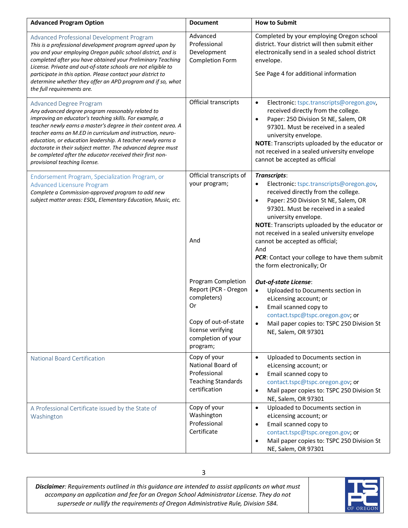<span id="page-2-2"></span><span id="page-2-1"></span><span id="page-2-0"></span>

| <b>Advanced Program Option</b>                                                                                                                                                                                                                                                                                                                                                                                                                                                                       | <b>Document</b>                                                                                                                                | <b>How to Submit</b>                                                                                                                                                                                                                                                                                                                                                                                                                                        |
|------------------------------------------------------------------------------------------------------------------------------------------------------------------------------------------------------------------------------------------------------------------------------------------------------------------------------------------------------------------------------------------------------------------------------------------------------------------------------------------------------|------------------------------------------------------------------------------------------------------------------------------------------------|-------------------------------------------------------------------------------------------------------------------------------------------------------------------------------------------------------------------------------------------------------------------------------------------------------------------------------------------------------------------------------------------------------------------------------------------------------------|
| Advanced Professional Development Program<br>This is a professional development program agreed upon by<br>you and your employing Oregon public school district, and is<br>completed after you have obtained your Preliminary Teaching<br>License. Private and out-of-state schools are not eligible to<br>participate in this option. Please contact your district to<br>determine whether they offer an APD program and if so, what<br>the full requirements are.                                   | Advanced<br>Professional<br>Development<br><b>Completion Form</b>                                                                              | Completed by your employing Oregon school<br>district. Your district will then submit either<br>electronically send in a sealed school district<br>envelope.<br>See Page 4 for additional information                                                                                                                                                                                                                                                       |
| Advanced Degree Program<br>Any advanced degree program reasonably related to<br>improving an educator's teaching skills. For example, a<br>teacher newly earns a master's degree in their content area. A<br>teacher earns an M.ED in curriculum and instruction, neuro-<br>education, or education leadership. A teacher newly earns a<br>doctorate in their subject matter. The advanced degree must<br>be completed after the educator received their first non-<br>provisional teaching license. | Official transcripts                                                                                                                           | Electronic: tspc.transcripts@oregon.gov,<br>$\bullet$<br>received directly from the college.<br>Paper: 250 Division St NE, Salem, OR<br>$\bullet$<br>97301. Must be received in a sealed<br>university envelope.<br>NOTE: Transcripts uploaded by the educator or<br>not received in a sealed university envelope<br>cannot be accepted as official                                                                                                         |
| Endorsement Program, Specialization Program, or<br><b>Advanced Licensure Program</b><br>Complete a Commission-approved program to add new<br>subject matter areas: ESOL, Elementary Education, Music, etc.                                                                                                                                                                                                                                                                                           | Official transcripts of<br>your program;<br>And                                                                                                | Transcripts:<br>Electronic: tspc.transcripts@oregon.gov,<br>$\bullet$<br>received directly from the college.<br>Paper: 250 Division St NE, Salem, OR<br>$\bullet$<br>97301. Must be received in a sealed<br>university envelope.<br>NOTE: Transcripts uploaded by the educator or<br>not received in a sealed university envelope<br>cannot be accepted as official;<br>And<br>PCR: Contact your college to have them submit<br>the form electronically; Or |
|                                                                                                                                                                                                                                                                                                                                                                                                                                                                                                      | Program Completion<br>Report (PCR - Oregon<br>completers)<br>Or<br>Copy of out-of-state<br>license verifying<br>completion of your<br>program; | <b>Out-of-state License:</b><br>Uploaded to Documents section in<br>$\bullet$<br>eLicensing account; or<br>Email scanned copy to<br>$\bullet$<br>contact.tspc@tspc.oregon.gov; or<br>Mail paper copies to: TSPC 250 Division St<br>NE, Salem, OR 97301                                                                                                                                                                                                      |
| <b>National Board Certification</b>                                                                                                                                                                                                                                                                                                                                                                                                                                                                  | Copy of your<br>National Board of<br>Professional<br><b>Teaching Standards</b><br>certification                                                | Uploaded to Documents section in<br>$\bullet$<br>eLicensing account; or<br>Email scanned copy to<br>$\bullet$<br>contact.tspc@tspc.oregon.gov; or<br>Mail paper copies to: TSPC 250 Division St<br>$\bullet$<br>NE, Salem, OR 97301                                                                                                                                                                                                                         |
| A Professional Certificate issued by the State of<br>Washington                                                                                                                                                                                                                                                                                                                                                                                                                                      | Copy of your<br>Washington<br>Professional<br>Certificate                                                                                      | Uploaded to Documents section in<br>$\bullet$<br>eLicensing account; or<br>Email scanned copy to<br>٠<br>contact.tspc@tspc.oregon.gov; or<br>Mail paper copies to: TSPC 250 Division St<br>NE, Salem, OR 97301                                                                                                                                                                                                                                              |

<span id="page-2-4"></span><span id="page-2-3"></span>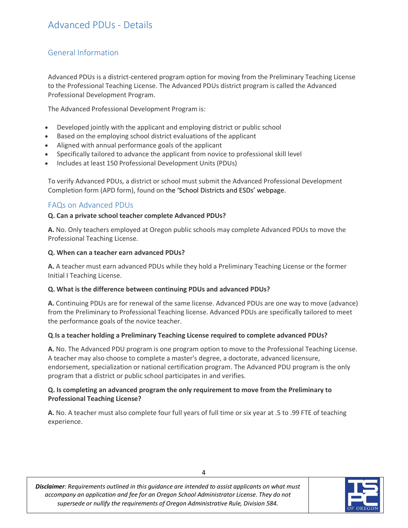# <span id="page-3-1"></span><span id="page-3-0"></span>General Information

Advanced PDUs is a district-centered program option for moving from the Preliminary Teaching License to the Professional Teaching License. The Advanced PDUs district program is called the Advanced Professional Development Program.

The Advanced Professional Development Program is:

- Developed jointly with the applicant and employing district or public school
- Based on the employing school district evaluations of the applicant
- Aligned with annual performance goals of the applicant
- Specifically tailored to advance the applicant from novice to professional skill level
- Includes at least 150 Professional Development Units (PDUs)

To verify Advanced PDUs, a district or school must submit the Advanced Professional Development Completion form (APD form), found on the 'School Districts and ESDs' webpage.

## <span id="page-3-2"></span>FAQs on Advanced PDUs

#### **Q. Can a private school teacher complete Advanced PDUs?**

**A.** No. Only teachers employed at Oregon public schools may complete Advanced PDUs to move the Professional Teaching License.

#### **Q. When can a teacher earn advanced PDUs?**

**A.** A teacher must earn advanced PDUs while they hold a Preliminary Teaching License or the former Initial I Teaching License.

#### **Q. What is the difference between continuing PDUs and advanced PDUs?**

**A.** Continuing PDUs are for renewal of the same license. Advanced PDUs are one way to move (advance) from the Preliminary to Professional Teaching license. Advanced PDUs are specifically tailored to meet the performance goals of the novice teacher.

#### **Q**.**Is a teacher holding a Preliminary Teaching License required to complete advanced PDUs?**

**A.** No. The Advanced PDU program is one program option to move to the Professional Teaching License. A teacher may also choose to complete a master's degree, a doctorate, advanced licensure, endorsement, specialization or national certification program. The Advanced PDU program is the only program that a district or public school participates in and verifies.

#### **Q. Is completing an advanced program the only requirement to move from the Preliminary to Professional Teaching License?**

**A.** No. A teacher must also complete four full years of full time or six year at .5 to .99 FTE of teaching experience.